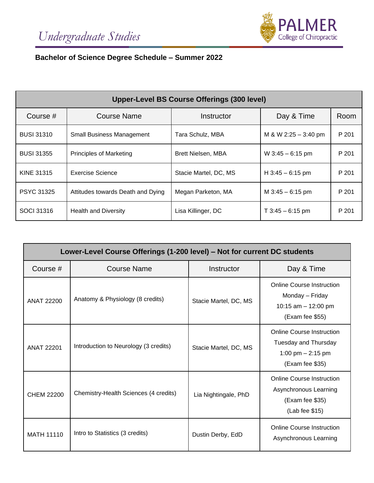

# **Bachelor of Science Degree Schedule – Summer 2022**

| Upper-Level BS Course Offerings (300 level) |                                   |                       |                      |       |  |
|---------------------------------------------|-----------------------------------|-----------------------|----------------------|-------|--|
| Course #                                    | <b>Course Name</b>                | Instructor            | Day & Time           | Room  |  |
| <b>BUSI 31310</b>                           | <b>Small Business Management</b>  | Tara Schulz, MBA      | M & W 2:25 - 3:40 pm | P 201 |  |
| <b>BUSI 31355</b>                           | <b>Principles of Marketing</b>    | Brett Nielsen, MBA    | W $3:45 - 6:15$ pm   | P 201 |  |
| <b>KINE 31315</b>                           | <b>Exercise Science</b>           | Stacie Martel, DC, MS | $H$ 3:45 - 6:15 pm   | P 201 |  |
| <b>PSYC 31325</b>                           | Attitudes towards Death and Dying | Megan Parketon, MA    | M $3:45 - 6:15$ pm   | P 201 |  |
| SOCI 31316                                  | <b>Health and Diversity</b>       | Lisa Killinger, DC    | $T$ 3:45 - 6:15 pm   | P 201 |  |

| Lower-Level Course Offerings (1-200 level) – Not for current DC students |                                       |                       |                                                                                                    |  |  |  |
|--------------------------------------------------------------------------|---------------------------------------|-----------------------|----------------------------------------------------------------------------------------------------|--|--|--|
| Course #                                                                 | <b>Course Name</b>                    | Instructor            | Day & Time                                                                                         |  |  |  |
| <b>ANAT 22200</b>                                                        | Anatomy & Physiology (8 credits)      | Stacie Martel, DC, MS | <b>Online Course Instruction</b><br>Monday - Friday<br>10:15 am $-$ 12:00 pm<br>(Exam fee \$55)    |  |  |  |
| <b>ANAT 22201</b>                                                        | Introduction to Neurology (3 credits) | Stacie Martel, DC, MS | <b>Online Course Instruction</b><br>Tuesday and Thursday<br>1:00 pm $- 2:15$ pm<br>(Exam fee \$35) |  |  |  |
| <b>CHEM 22200</b>                                                        | Chemistry-Health Sciences (4 credits) | Lia Nightingale, PhD  | <b>Online Course Instruction</b><br>Asynchronous Learning<br>(Exam fee \$35)<br>(Lab fee \$15)     |  |  |  |
| <b>MATH 11110</b>                                                        | Intro to Statistics (3 credits)       | Dustin Derby, EdD     | <b>Online Course Instruction</b><br>Asynchronous Learning                                          |  |  |  |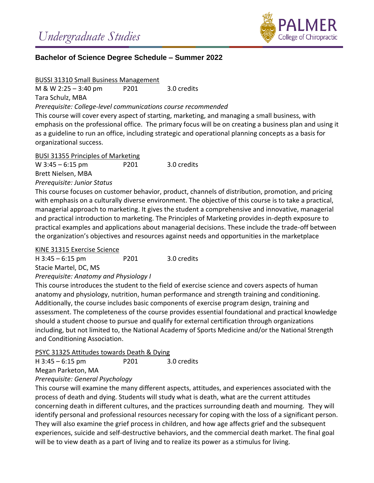

# **Bachelor of Science Degree Schedule – Summer 2022**

## BUSSI 31310 Small Business Management

M & W 2:25 – 3:40 pm P201 3.0 credits

Tara Schulz, MBA

*Prerequisite: College-level communications course recommended*

This course will cover every aspect of starting, marketing, and managing a small business, with emphasis on the professional office. The primary focus will be on creating a business plan and using it as a guideline to run an office, including strategic and operational planning concepts as a basis for organizational success.

## BUSI 31355 Principles of Marketing

W 3:45 – 6:15 pm P201 3.0 credits Brett Nielsen, MBA

*Prerequisite: Junior Status*

This course focuses on customer behavior, product, channels of distribution, promotion, and pricing with emphasis on a culturally diverse environment. The objective of this course is to take a practical, managerial approach to marketing. It gives the student a comprehensive and innovative, managerial and practical introduction to marketing. The Principles of Marketing provides in-depth exposure to practical examples and applications about managerial decisions. These include the trade-off between the organization's objectives and resources against needs and opportunities in the marketplace

# KINE 31315 Exercise Science

H 3:45 – 6:15 pm P201 3.0 credits

Stacie Martel, DC, MS

# *Prerequisite: Anatomy and Physiology I*

This course introduces the student to the field of exercise science and covers aspects of human anatomy and physiology, nutrition, human performance and strength training and conditioning. Additionally, the course includes basic components of exercise program design, training and assessment. The completeness of the course provides essential foundational and practical knowledge should a student choose to pursue and qualify for external certification through organizations including, but not limited to, the National Academy of Sports Medicine and/or the National Strength and Conditioning Association.

## PSYC 31325 Attitudes towards Death & Dying

H 3:45 – 6:15 pm P201 3.0 credits Megan Parketon, MA

# *Prerequisite: General Psychology*

This course will examine the many different aspects, attitudes, and experiences associated with the process of death and dying. Students will study what is death, what are the current attitudes concerning death in different cultures, and the practices surrounding death and mourning. They will identify personal and professional resources necessary for coping with the loss of a significant person. They will also examine the grief process in children, and how age affects grief and the subsequent experiences, suicide and self-destructive behaviors, and the commercial death market. The final goal will be to view death as a part of living and to realize its power as a stimulus for living.